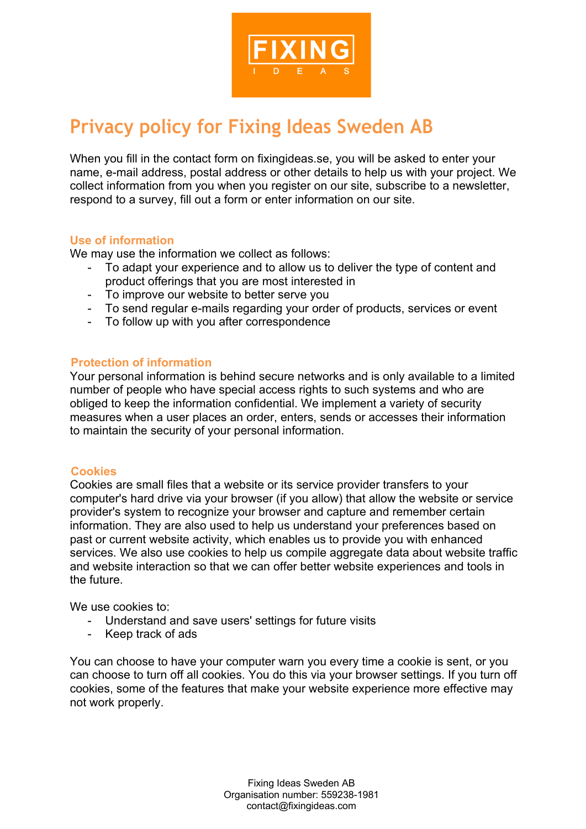

# **Privacy policy for Fixing Ideas Sweden AB**

When you fill in the contact form on fixingideas.se, you will be asked to enter your name, e-mail address, postal address or other details to help us with your project. We collect information from you when you register on our site, subscribe to a newsletter, respond to a survey, fill out a form or enter information on our site.

# **Use of information**

We may use the information we collect as follows:

- To adapt your experience and to allow us to deliver the type of content and product offerings that you are most interested in
- To improve our website to better serve you
- To send regular e-mails regarding your order of products, services or event
- To follow up with you after correspondence

#### **Protection of information**

Your personal information is behind secure networks and is only available to a limited number of people who have special access rights to such systems and who are obliged to keep the information confidential. We implement a variety of security measures when a user places an order, enters, sends or accesses their information to maintain the security of your personal information.

#### **Cookies**

Cookies are small files that a website or its service provider transfers to your computer's hard drive via your browser (if you allow) that allow the website or service provider's system to recognize your browser and capture and remember certain information. They are also used to help us understand your preferences based on past or current website activity, which enables us to provide you with enhanced services. We also use cookies to help us compile aggregate data about website traffic and website interaction so that we can offer better website experiences and tools in the future.

We use cookies to:

- Understand and save users' settings for future visits
- Keep track of ads

You can choose to have your computer warn you every time a cookie is sent, or you can choose to turn off all cookies. You do this via your browser settings. If you turn off cookies, some of the features that make your website experience more effective may not work properly.

> Fixing Ideas Sweden AB Organisation number: 559238-1981 contact@fixingideas.com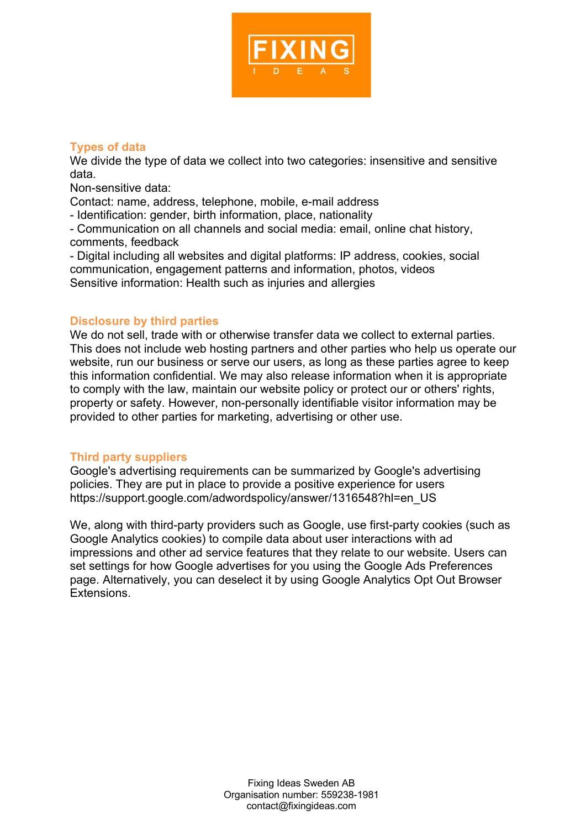

# **Types of data**

We divide the type of data we collect into two categories: insensitive and sensitive data.

Non-sensitive data:

Contact: name, address, telephone, mobile, e-mail address

- Identification: gender, birth information, place, nationality

- Communication on all channels and social media: email, online chat history, comments, feedback

- Digital including all websites and digital platforms: IP address, cookies, social communication, engagement patterns and information, photos, videos Sensitive information: Health such as injuries and allergies

# **Disclosure by third parties**

We do not sell, trade with or otherwise transfer data we collect to external parties. This does not include web hosting partners and other parties who help us operate our website, run our business or serve our users, as long as these parties agree to keep this information confidential. We may also release information when it is appropriate to comply with the law, maintain our website policy or protect our or others' rights, property or safety. However, non-personally identifiable visitor information may be provided to other parties for marketing, advertising or other use.

# **Third party suppliers**

Google's advertising requirements can be summarized by Google's advertising policies. They are put in place to provide a positive experience for users https://support.google.com/adwordspolicy/answer/1316548?hl=en\_US

We, along with third-party providers such as Google, use first-party cookies (such as Google Analytics cookies) to compile data about user interactions with ad impressions and other ad service features that they relate to our website. Users can set settings for how Google advertises for you using the Google Ads Preferences page. Alternatively, you can deselect it by using Google Analytics Opt Out Browser Extensions.